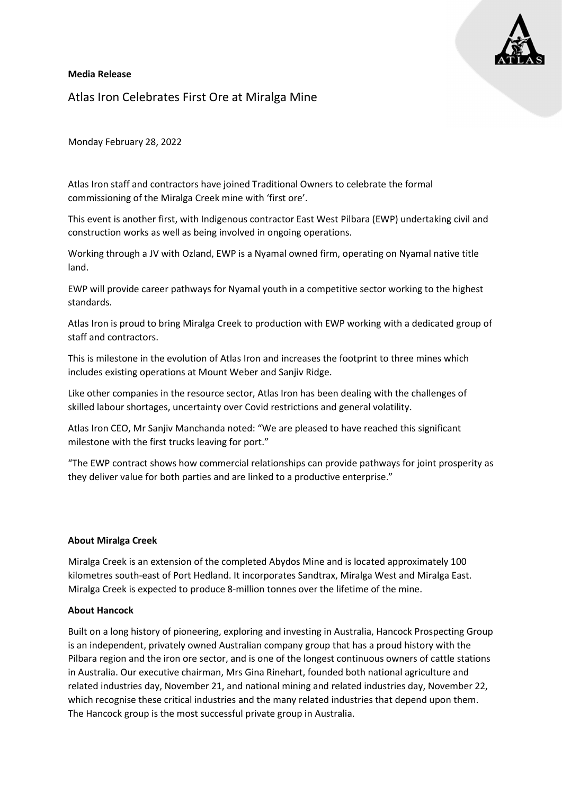

### Media Release

Atlas Iron Celebrates First Ore at Miralga Mine

Monday February 28, 2022

Atlas Iron staff and contractors have joined Traditional Owners to celebrate the formal commissioning of the Miralga Creek mine with 'first ore'.

This event is another first, with Indigenous contractor East West Pilbara (EWP) undertaking civil and construction works as well as being involved in ongoing operations.

Working through a JV with Ozland, EWP is a Nyamal owned firm, operating on Nyamal native title land.

EWP will provide career pathways for Nyamal youth in a competitive sector working to the highest standards.

Atlas Iron is proud to bring Miralga Creek to production with EWP working with a dedicated group of staff and contractors.

This is milestone in the evolution of Atlas Iron and increases the footprint to three mines which includes existing operations at Mount Weber and Sanjiv Ridge.

Like other companies in the resource sector, Atlas Iron has been dealing with the challenges of skilled labour shortages, uncertainty over Covid restrictions and general volatility.

Atlas Iron CEO, Mr Sanjiv Manchanda noted: "We are pleased to have reached this significant milestone with the first trucks leaving for port."

"The EWP contract shows how commercial relationships can provide pathways for joint prosperity as they deliver value for both parties and are linked to a productive enterprise."

#### About Miralga Creek

Miralga Creek is an extension of the completed Abydos Mine and is located approximately 100 kilometres south-east of Port Hedland. It incorporates Sandtrax, Miralga West and Miralga East. Miralga Creek is expected to produce 8-million tonnes over the lifetime of the mine.

#### About Hancock

Built on a long history of pioneering, exploring and investing in Australia, Hancock Prospecting Group is an independent, privately owned Australian company group that has a proud history with the Pilbara region and the iron ore sector, and is one of the longest continuous owners of cattle stations in Australia. Our executive chairman, Mrs Gina Rinehart, founded both national agriculture and related industries day, November 21, and national mining and related industries day, November 22, which recognise these critical industries and the many related industries that depend upon them. The Hancock group is the most successful private group in Australia.